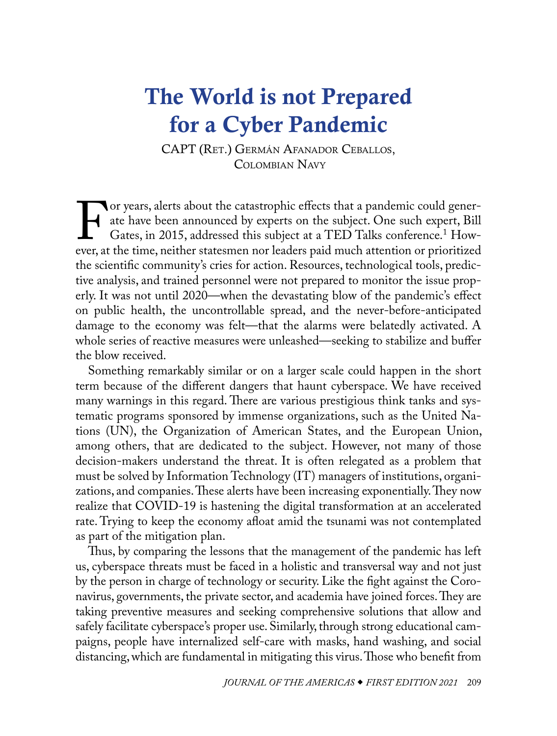# <span id="page-0-0"></span>The World is not Prepared for a Cyber Pandemic

CAPT (Ret.) Germán Afanador Ceballos, COLOMBIAN NAVY

For years, alerts about the catastrophic effects that a pandemic could generate have been announced by experts on the subject. One such expert, Bill Gates, in 2015, addressed this subject at a TED Talks conference.<sup>1</sup> Howe ate have been announced by experts on the subject. One such expert, Bill Gates, in 2015, addressed this subject at a TED Talks conference.<sup>1</sup> However, at the time, neither statesmen nor leaders paid much attention or prioritized the scientific community's cries for action. Resources, technological tools, predictive analysis, and trained personnel were not prepared to monitor the issue properly. It was not until 2020—when the devastating blow of the pandemic's effect on public health, the uncontrollable spread, and the never-before-anticipated damage to the economy was felt—that the alarms were belatedly activated. A whole series of reactive measures were unleashed—seeking to stabilize and buffer the blow received.

Something remarkably similar or on a larger scale could happen in the short term because of the different dangers that haunt cyberspace. We have received many warnings in this regard. There are various prestigious think tanks and systematic programs sponsored by immense organizations, such as the United Nations (UN), the Organization of American States, and the European Union, among others, that are dedicated to the subject. However, not many of those decision-makers understand the threat. It is often relegated as a problem that must be solved by Information Technology (IT) managers of institutions, organizations, and companies. These alerts have been increasing exponentially. They now realize that COVID-19 is hastening the digital transformation at an accelerated rate. Trying to keep the economy afloat amid the tsunami was not contemplated as part of the mitigation plan.

Thus, by comparing the lessons that the management of the pandemic has left us, cyberspace threats must be faced in a holistic and transversal way and not just by the person in charge of technology or security. Like the fight against the Coronavirus, governments, the private sector, and academia have joined forces. They are taking preventive measures and seeking comprehensive solutions that allow and safely facilitate cyberspace's proper use. Similarly, through strong educational campaigns, people have internalized self-care with masks, hand washing, and social distancing, which are fundamental in mitigating this virus. Those who benefit from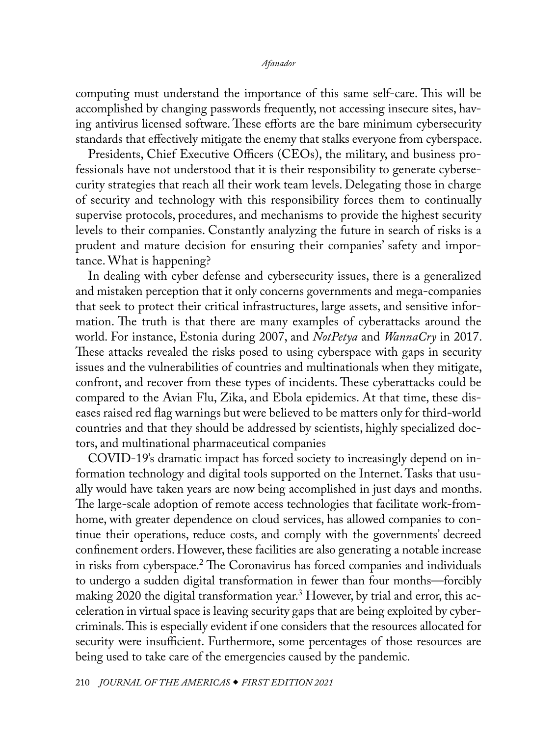### *Afanador*

<span id="page-1-0"></span>computing must understand the importance of this same self-care. This will be accomplished by changing passwords frequently, not accessing insecure sites, having antivirus licensed software. These efforts are the bare minimum cybersecurity standards that effectively mitigate the enemy that stalks everyone from cyberspace.

Presidents, Chief Executive Officers (CEOs), the military, and business professionals have not understood that it is their responsibility to generate cybersecurity strategies that reach all their work team levels. Delegating those in charge of security and technology with this responsibility forces them to continually supervise protocols, procedures, and mechanisms to provide the highest security levels to their companies. Constantly analyzing the future in search of risks is a prudent and mature decision for ensuring their companies' safety and importance. What is happening?

In dealing with cyber defense and cybersecurity issues, there is a generalized and mistaken perception that it only concerns governments and mega-companies that seek to protect their critical infrastructures, large assets, and sensitive information. The truth is that there are many examples of cyberattacks around the world. For instance, Estonia during 2007, and *NotPetya* and *WannaCry* in 2017. These attacks revealed the risks posed to using cyberspace with gaps in security issues and the vulnerabilities of countries and multinationals when they mitigate, confront, and recover from these types of incidents. These cyberattacks could be compared to the Avian Flu, Zika, and Ebola epidemics. At that time, these diseases raised red flag warnings but were believed to be matters only for third-world countries and that they should be addressed by scientists, highly specialized doctors, and multinational pharmaceutical companies

COVID-19's dramatic impact has forced society to increasingly depend on information technology and digital tools supported on the Internet. Tasks that usually would have taken years are now being accomplished in just days and months. The large-scale adoption of remote access technologies that facilitate work-fromhome, with greater dependence on cloud services, has allowed companies to continue their operations, reduce costs, and comply with the governments' decreed confinement orders. However, these facilities are also generating a notable increase in risks from cyberspace[.2](#page-3-0) The Coronavirus has forced companies and individuals to undergo a sudden digital transformation in fewer than four months—forcibly making 2020 the digital transformation year.[3](#page-3-0) However, by trial and error, this acceleration in virtual space is leaving security gaps that are being exploited by cybercriminals. This is especially evident if one considers that the resources allocated for security were insufficient. Furthermore, some percentages of those resources are being used to take care of the emergencies caused by the pandemic.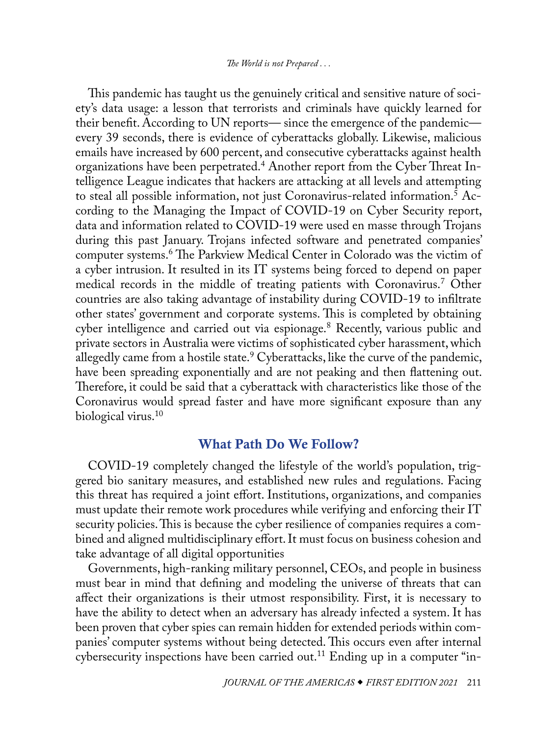## *The World is not Prepared . . .*

<span id="page-2-0"></span>This pandemic has taught us the genuinely critical and sensitive nature of society's data usage: a lesson that terrorists and criminals have quickly learned for their benefit. According to UN reports— since the emergence of the pandemic every 39 seconds, there is evidence of cyberattacks globally. Likewise, malicious emails have increased by 600 percent, and consecutive cyberattacks against health organizations have been perpetrated.[4](#page-4-0) Another report from the Cyber Threat Intelligence League indicates that hackers are attacking at all levels and attempting to steal all possible information, not just Coronavirus-related information.<sup>[5](#page-4-0)</sup> According to the Managing the Impact of COVID-19 on Cyber Security report, data and information related to COVID-19 were used en masse through Trojans during this past January. Trojans infected software and penetrated companies' computer systems.[6](#page-4-0) The Parkview Medical Center in Colorado was the victim of a cyber intrusion. It resulted in its IT systems being forced to depend on paper medical records in the middle of treating patients with Coronavirus.[7](#page-4-0) Other countries are also taking advantage of instability during COVID-19 to infiltrate other states' government and corporate systems. This is completed by obtaining cyber intelligence and carried out via espionage.[8](#page-4-0) Recently, various public and private sectors in Australia were victims of sophisticated cyber harassment, which allegedly came from a hostile state.<sup>[9](#page-4-0)</sup> Cyberattacks, like the curve of the pandemic, have been spreading exponentially and are not peaking and then flattening out. Therefore, it could be said that a cyberattack with characteristics like those of the Coronavirus would spread faster and have more significant exposure than any biological virus.<sup>[10](#page-4-0)</sup>

## What Path Do We Follow?

COVID-19 completely changed the lifestyle of the world's population, triggered bio sanitary measures, and established new rules and regulations. Facing this threat has required a joint effort. Institutions, organizations, and companies must update their remote work procedures while verifying and enforcing their IT security policies. This is because the cyber resilience of companies requires a combined and aligned multidisciplinary effort. It must focus on business cohesion and take advantage of all digital opportunities

Governments, high-ranking military personnel, CEOs, and people in business must bear in mind that defining and modeling the universe of threats that can affect their organizations is their utmost responsibility. First, it is necessary to have the ability to detect when an adversary has already infected a system. It has been proven that cyber spies can remain hidden for extended periods within companies' computer systems without being detected. This occurs even after internal cybersecurity inspections have been carried out.<sup>11</sup> Ending up in a computer "in-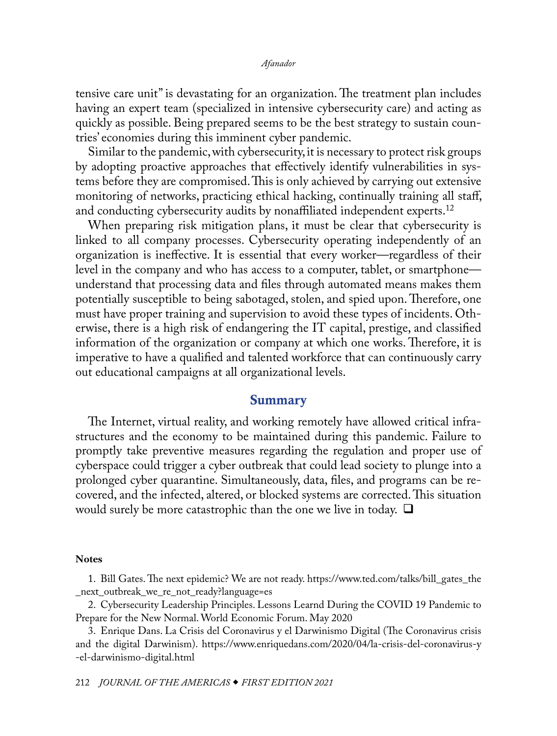<span id="page-3-0"></span>tensive care unit" is devastating for an organization. The treatment plan includes having an expert team (specialized in intensive cybersecurity care) and acting as quickly as possible. Being prepared seems to be the best strategy to sustain countries' economies during this imminent cyber pandemic.

Similar to the pandemic, with cybersecurity, it is necessary to protect risk groups by adopting proactive approaches that effectively identify vulnerabilities in systems before they are compromised. This is only achieved by carrying out extensive monitoring of networks, practicing ethical hacking, continually training all staff, and conducting cybersecurity audits by nonaffiliated independent experts.<sup>[12](#page-4-0)</sup>

When preparing risk mitigation plans, it must be clear that cybersecurity is linked to all company processes. Cybersecurity operating independently of an organization is ineffective. It is essential that every worker—regardless of their level in the company and who has access to a computer, tablet, or smartphone understand that processing data and files through automated means makes them potentially susceptible to being sabotaged, stolen, and spied upon. Therefore, one must have proper training and supervision to avoid these types of incidents. Otherwise, there is a high risk of endangering the IT capital, prestige, and classified information of the organization or company at which one works. Therefore, it is imperative to have a qualified and talented workforce that can continuously carry out educational campaigns at all organizational levels.

## Summary

The Internet, virtual reality, and working remotely have allowed critical infrastructures and the economy to be maintained during this pandemic. Failure to promptly take preventive measures regarding the regulation and proper use of cyberspace could trigger a cyber outbreak that could lead society to plunge into a prolonged cyber quarantine. Simultaneously, data, files, and programs can be recovered, and the infected, altered, or blocked systems are corrected. This situation would surely be more catastrophic than the one we live in today.  $\square$ 

#### **Notes**

[1](#page-0-0). Bill Gates. The next epidemic? We are not ready. [https://www.ted.com/talks/bill\\_gates\\_the](https://www.ted.com/talks/bill_gates_the_next_outbreak_we_re_not_ready?language=es) [\\_next\\_outbreak\\_we\\_re\\_not\\_ready?language=es](https://www.ted.com/talks/bill_gates_the_next_outbreak_we_re_not_ready?language=es)

[2](#page-1-0). Cybersecurity Leadership Principles. Lessons Learnd During the COVID 19 Pandemic to Prepare for the New Normal. World Economic Forum. May 2020

[3](#page-1-0). Enrique Dans. La Crisis del Coronavirus y el Darwinismo Digital (The Coronavirus crisis and the digital Darwinism). [https://www.enriquedans.com/2020/04/la-crisis-del-coronavirus-y](https://www.enriquedans.com/2020/04/la-crisis-del-coronavirus-y-el-darwinismo-digital.html) [-el-darwinismo-digital.html](https://www.enriquedans.com/2020/04/la-crisis-del-coronavirus-y-el-darwinismo-digital.html)